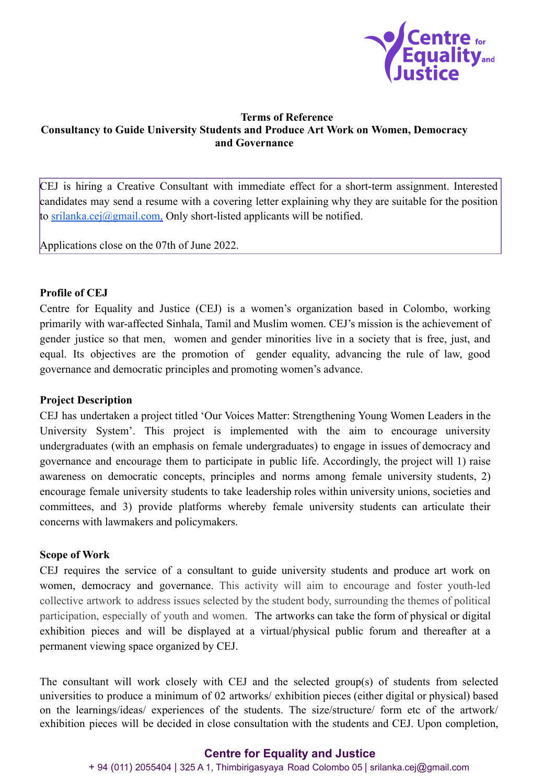

### **Terms of Reference Consultancy to Guide University Students and Produce Art Work on Women, Democracy and Governance**

CEJ is hiring a Creative Consultant with immediate effect for a short-term assignment. Interested candidates may send a resume with a covering letter explaining why they are suitable for the position to [srilanka.cej@gmail.com](mailto:srilanka.cej@gmail.com). Only short-listed applicants will be notified.

Applications close on the 07th of June 2022.

## **Profile of CEJ**

Centre for Equality and Justice (CEJ) is a women's organization based in Colombo, working primarily with war-affected Sinhala, Tamil and Muslim women. CEJ's mission is the achievement of gender justice so that men, women and gender minorities live in a society that is free, just, and equal. Its objectives are the promotion of gender equality, advancing the rule of law, good governance and democratic principles and promoting women's advance.

#### **Project Description**

CEJ has undertaken a project titled 'Our Voices Matter: Strengthening Young Women Leaders in the University System'. This project is implemented with the aim to encourage university undergraduates (with an emphasis on female undergraduates) to engage in issues of democracy and governance and encourage them to participate in public life. Accordingly, the project will 1) raise awareness on democratic concepts, principles and norms among female university students, 2) encourage female university students to take leadership roles within university unions, societies and committees, and 3) provide platforms whereby female university students can articulate their concerns with lawmakers and policymakers.

#### **Scope of Work**

CEJ requires the service of a consultant to guide university students and produce art work on women, democracy and governance. This activity will aim to encourage and foster youth-led collective artwork to address issues selected by the student body, surrounding the themes of political participation, especially of youth and women. The artworks can take the form of physical or digital exhibition pieces and will be displayed at a virtual/physical public forum and thereafter at a permanent viewing space organized by CEJ.

The consultant will work closely with CEJ and the selected group(s) of students from selected universities to produce a minimum of 02 artworks/ exhibition pieces (either digital or physical) based on the learnings/ideas/ experiences of the students. The size/structure/ form etc of the artwork/ exhibition pieces will be decided in close consultation with the students and CEJ. Upon completion,

## **Centre for Equality and Justice**

+ 94 (011) 2055404 | 325 A 1, Thimbirigasyaya Road Colombo 05 | srilanka.cej@gmail.com